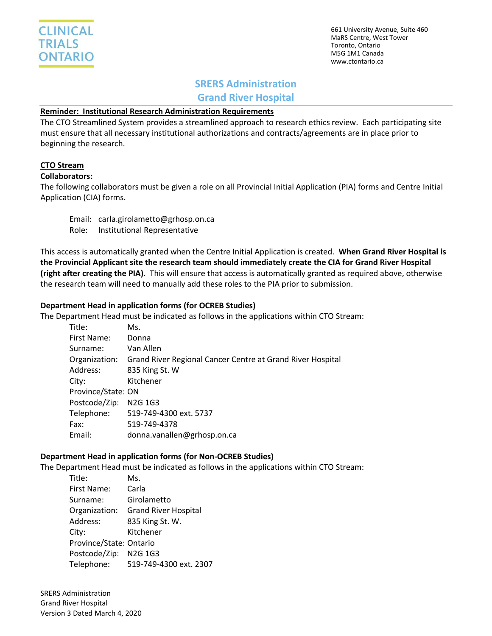661 University Avenue, Suite 460 MaRS Centre, West Tower Toronto, Ontario M5G 1M1 Canada www.ctontario.ca

# **SRERS Administration**

**Grand River Hospital**

### **Reminder: Institutional Research Administration Requirements**

The CTO Streamlined System provides a streamlined approach to research ethics review. Each participating site must ensure that all necessary institutional authorizations and contracts/agreements are in place prior to beginning the research.

## **CTO Stream**

#### **Collaborators:**

The following collaborators must be given a role on all Provincial Initial Application (PIA) forms and Centre Initial Application (CIA) forms.

Email: carla.girolametto@grhosp.on.ca Role: Institutional Representative

This access is automatically granted when the Centre Initial Application is created. **When Grand River Hospital is the Provincial Applicant site the research team should immediately create the CIA for Grand River Hospital (right after creating the PIA)**. This will ensure that access is automatically granted as required above, otherwise the research team will need to manually add these roles to the PIA prior to submission.

## **Department Head in application forms (for OCREB Studies)**

The Department Head must be indicated as follows in the applications within CTO Stream:

| Title:             | Ms.                                                                      |
|--------------------|--------------------------------------------------------------------------|
| First Name:        | Donna                                                                    |
| Surname:           | Van Allen                                                                |
|                    | Organization: Grand River Regional Cancer Centre at Grand River Hospital |
| Address:           | 835 King St. W                                                           |
| City:              | Kitchener                                                                |
| Province/State: ON |                                                                          |
| Postcode/Zip:      | N <sub>2</sub> G <sub>1</sub> G <sub>3</sub>                             |
|                    | Telephone: 519-749-4300 ext. 5737                                        |
| Fax:               | 519-749-4378                                                             |
| Email:             | donna.vanallen@grhosp.on.ca                                              |

## **Department Head in application forms (for Non-OCREB Studies)**

The Department Head must be indicated as follows in the applications within CTO Stream:

| Title:                  | Ms.                         |  |  |  |
|-------------------------|-----------------------------|--|--|--|
| First Name:             | Carla                       |  |  |  |
| Surname:                | Girolametto                 |  |  |  |
| Organization:           | <b>Grand River Hospital</b> |  |  |  |
| Address:                | 835 King St. W.             |  |  |  |
| City:                   | Kitchener                   |  |  |  |
| Province/State: Ontario |                             |  |  |  |
| Postcode/Zip: N2G 1G3   |                             |  |  |  |
| Telephone:              | 519-749-4300 ext. 2307      |  |  |  |

SRERS Administration Grand River Hospital Version 3 Dated March 4, 2020